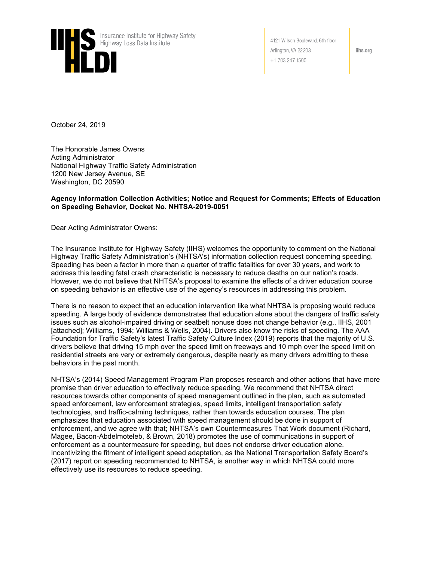

4121 Wilson Boulevard, 6th floor Arlington, VA 22203  $+1$  703 247 1500

iihs.org

October 24, 2019

The Honorable James Owens Acting Administrator National Highway Traffic Safety Administration 1200 New Jersey Avenue, SE Washington, DC 20590

#### **Agency Information Collection Activities; Notice and Request for Comments; Effects of Education on Speeding Behavior, Docket No. NHTSA-2019-0051**

Dear Acting Administrator Owens:

The Insurance Institute for Highway Safety (IIHS) welcomes the opportunity to comment on the National Highway Traffic Safety Administration's (NHTSA's) information collection request concerning speeding. Speeding has been a factor in more than a quarter of traffic fatalities for over 30 years, and work to address this leading fatal crash characteristic is necessary to reduce deaths on our nation's roads. However, we do not believe that NHTSA's proposal to examine the effects of a driver education course on speeding behavior is an effective use of the agency's resources in addressing this problem.

There is no reason to expect that an education intervention like what NHTSA is proposing would reduce speeding. A large body of evidence demonstrates that education alone about the dangers of traffic safety issues such as alcohol-impaired driving or seatbelt nonuse does not change behavior (e.g., IIHS, 2001 [attached]; Williams, 1994; Williams & Wells, 2004). Drivers also know the risks of speeding. The AAA Foundation for Traffic Safety's latest Traffic Safety Culture Index (2019) reports that the majority of U.S. drivers believe that driving 15 mph over the speed limit on freeways and 10 mph over the speed limit on residential streets are very or extremely dangerous, despite nearly as many drivers admitting to these behaviors in the past month.

NHTSA's (2014) Speed Management Program Plan proposes research and other actions that have more promise than driver education to effectively reduce speeding. We recommend that NHTSA direct resources towards other components of speed management outlined in the plan, such as automated speed enforcement, law enforcement strategies, speed limits, intelligent transportation safety technologies, and traffic-calming techniques, rather than towards education courses. The plan emphasizes that education associated with speed management should be done in support of enforcement, and we agree with that; NHTSA's own Countermeasures That Work document (Richard, Magee, Bacon-Abdelmoteleb, & Brown, 2018) promotes the use of communications in support of enforcement as a countermeasure for speeding, but does not endorse driver education alone. Incentivizing the fitment of intelligent speed adaptation, as the National Transportation Safety Board's (2017) report on speeding recommended to NHTSA, is another way in which NHTSA could more effectively use its resources to reduce speeding.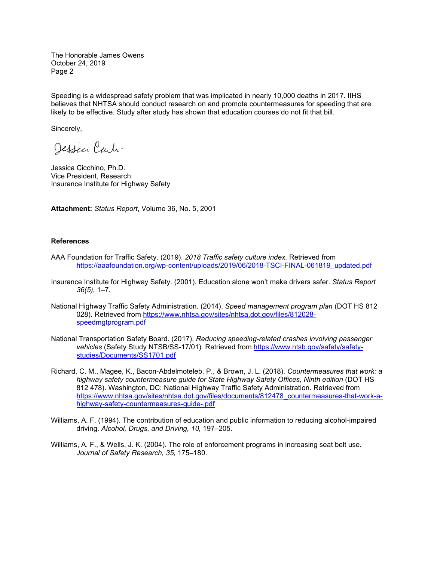The Honorable James Owens October 24, 2019 Page 2

Speeding is a widespread safety problem that was implicated in nearly 10,000 deaths in 2017. IIHS believes that NHTSA should conduct research on and promote countermeasures for speeding that are likely to be effective. Study after study has shown that education courses do not fit that bill.

Sincerely,

Jessen Carti-

Jessica Cicchino, Ph.D. Vice President, Research Insurance Institute for Highway Safety

**Attachment:** *Status Report*, Volume 36, No. 5, 2001

#### **References**

- AAA Foundation for Traffic Safety. (2019). *2018 Traffic safety culture index.* Retrieved from [https://aaafoundation.org/wp-content/uploads/2019/06/2018-TSCI-FINAL-061819\\_updated.pdf](https://aaafoundation.org/wp-content/uploads/2019/06/2018-TSCI-FINAL-061819_updated.pdf)
- Insurance Institute for Highway Safety. (2001). Education alone won't make drivers safer. *Status Report 36(5)*, 1–7.
- National Highway Traffic Safety Administration. (2014). *Speed management program plan* (DOT HS 812 028). Retrieved from [https://www.nhtsa.gov/sites/nhtsa.dot.gov/files/812028](https://www.nhtsa.gov/sites/nhtsa.dot.gov/files/812028-speedmgtprogram.pdf) [speedmgtprogram.pdf](https://www.nhtsa.gov/sites/nhtsa.dot.gov/files/812028-speedmgtprogram.pdf)
- National Transportation Safety Board. (2017). *Reducing speeding-related crashes involving passenger vehicles* (Safety Study NTSB/SS-17/01)*.* Retrieved from [https://www.ntsb.gov/safety/safety](https://www.ntsb.gov/safety/safety-studies/Documents/SS1701.pdf)[studies/Documents/SS1701.pdf](https://www.ntsb.gov/safety/safety-studies/Documents/SS1701.pdf)
- Richard, C. M., Magee, K., Bacon-Abdelmoteleb, P., & Brown, J. L. (2018). *Countermeasures that work: a highway safety countermeasure guide for State Highway Safety Offices, Ninth edition* (DOT HS 812 478). Washington, DC: National Highway Traffic Safety Administration. Retrieved from [https://www.nhtsa.gov/sites/nhtsa.dot.gov/files/documents/812478\\_countermeasures-that-work-a](https://www.nhtsa.gov/sites/nhtsa.dot.gov/files/documents/812478_countermeasures-that-work-a-highway-safety-countermeasures-guide-.pdf)[highway-safety-countermeasures-guide-.pdf](https://www.nhtsa.gov/sites/nhtsa.dot.gov/files/documents/812478_countermeasures-that-work-a-highway-safety-countermeasures-guide-.pdf)
- Williams, A. F. (1994). The contribution of education and public information to reducing alcohol-impaired driving. *Alcohol, Drugs, and Driving, 10,* 197–205.
- Williams, A. F., & Wells, J. K. (2004). The role of enforcement programs in increasing seat belt use. *Journal of Safety Research, 35,* 175–180.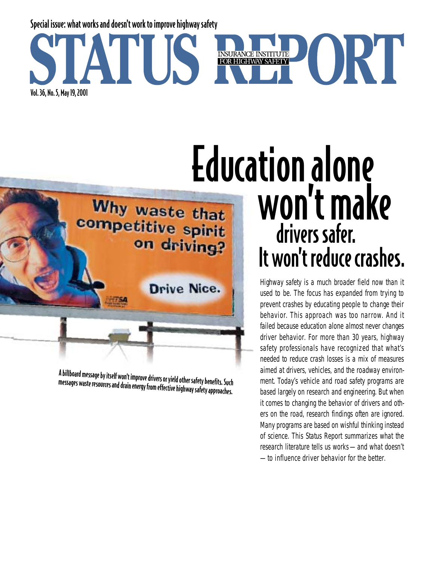

### Education alone won't make Why waste that competitive spirit drivers safer. on driving? It won't reduce crashes.

*Highway safety is a much broader field now than it used to be. The focus has expanded from trying to prevent crashes by educating people to change their behavior. This approach was too narrow. And it failed because education alone almost never changes driver behavior. For more than 30 years, highway safety professionals have recognized that what's needed to reduce crash losses is a mix of measures aimed at drivers, vehicles, and the roadway environment. Today's vehicle and road safety programs are based largely on research and engineering. But when it comes to changing the behavior of drivers and others on the road, research findings often are ignored. Many programs are based on wishful thinking instead of science. This Status Report summarizes what the research literature tells us works — and what doesn't — to influence driver behavior for the better.* 

A billboard message by itself won't improve drivers or yield other safety benefits. Such messages waste resources and drain energy from effective highway safety approaches.

Drive Nice.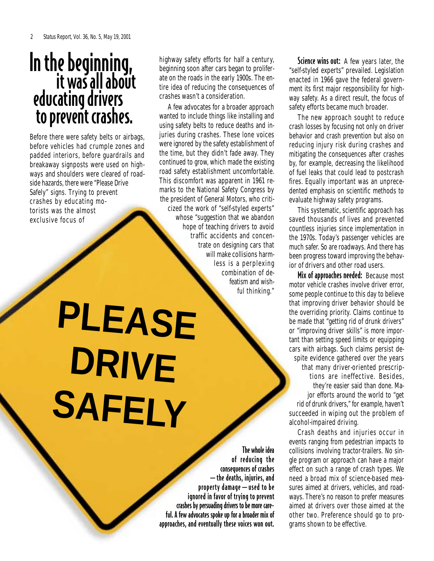## In the beginning,<br>it was all about educating drivers to prevent crashes.

Before there were safety belts or airbags, before vehicles had crumple zones and padded interiors, before guardrails and breakaway signposts were used on highways and shoulders were cleared of roadside hazards, there were "Please Drive Safely" signs. Trying to prevent crashes by educating motorists was the almost exclusive focus of

highway safety efforts for half a century, beginning soon after cars began to proliferate on the roads in the early 1900s. The entire idea of reducing the consequences of crashes wasn't a consideration.

A few advocates for a broader approach wanted to include things like installing and using safety belts to reduce deaths and injuries during crashes. These lone voices were ignored by the safety establishment of the time, but they didn't fade away. They continued to grow, which made the existing road safety establishment uncomfortable. This discomfort was apparent in 1961 remarks to the National Safety Congress by the president of General Motors, who criticized the work of "self-styled experts" whose "suggestion that we abandon hope of teaching drivers to avoid traffic accidents and concentrate on designing cars that will make collisions harmless is a perplexing combination of defeatism and wishful thinking."

# **PLEASE DRIVE SAFELY**

The whole idea of reducing the consequences of crashes —the deaths, injuries, and property damage—used to be ignored in favor of trying to prevent crashes by persuading drivers to be more careful. A few advocates spoke up for a broader mix of approaches, and eventually these voices won out.

Science wins out: A few years later, the "self-styled experts" prevailed. Legislation enacted in 1966 gave the federal government its first major responsibility for highway safety. As a direct result, the focus of safety efforts became much broader.

The new approach sought to reduce crash losses by focusing not only on driver behavior and crash prevention but also on reducing injury risk during crashes and mitigating the consequences after crashes by, for example, decreasing the likelihood of fuel leaks that could lead to postcrash fires. Equally important was an unprecedented emphasis on scientific methods to evaluate highway safety programs.

This systematic, scientific approach has saved thousands of lives and prevented countless injuries since implementation in the 1970s. Today's passenger vehicles are much safer. So are roadways. And there has been progress toward improving the behavior of drivers and other road users.

Mix of approaches needed: Because most motor vehicle crashes involve driver error, some people continue to this day to believe that improving driver behavior should be the overriding priority. Claims continue to be made that "getting rid of drunk drivers" or "improving driver skills" is more important than setting speed limits or equipping cars with airbags. Such claims persist despite evidence gathered over the years that many driver-oriented prescriptions are ineffective. Besides, they're easier said than done. Major efforts around the world to "get rid of drunk drivers," for example, haven't succeeded in wiping out the problem of alcohol-impaired driving.

Crash deaths and injuries occur in events ranging from pedestrian impacts to collisions involving tractor-trailers. No single program or approach can have a major effect on such a range of crash types. We need a broad mix of science-based measures aimed at drivers, vehicles, and roadways. There's no reason to prefer measures aimed at drivers over those aimed at the other two. Preference should go to programs shown to be effective.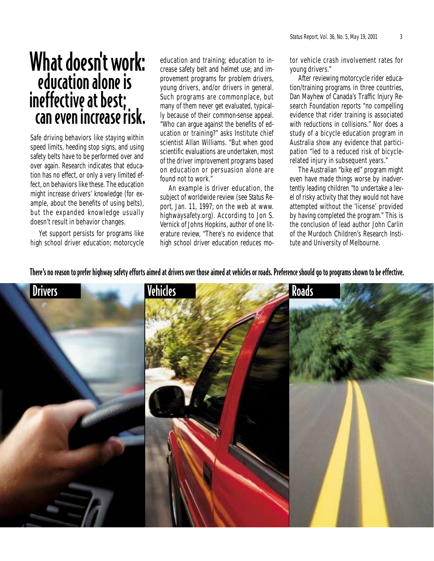## What doesn't work: education alone is ineffective at best; can even increase risk.

Safe driving behaviors like staying within speed limits, heeding stop signs, and using safety belts have to be performed over and over again. Research indicates that education has no effect, or only a very limited effect, on behaviors like these. The education might increase drivers' knowledge (for example, about the benefits of using belts), but the expanded knowledge usually doesn't result in behavior changes.

Yet support persists for programs like high school driver education; motorcycle education and training; education to increase safety belt and helmet use; and improvement programs for problem drivers, young drivers, and/or drivers in general. Such programs are commonplace, but many of them never get evaluated, typically because of their common-sense appeal. "Who can argue against the benefits of education or training?" asks Institute chief scientist Allan Williams. "But when good scientific evaluations are undertaken, most of the driver improvement programs based on education or persuasion alone are found not to work."

An example is driver education, the subject of worldwide review (see *Status Report*, Jan. 11, 1997; on the web at www. highwaysafety.org). According to Jon S. Vernick of Johns Hopkins, author of one literature review, "There's no evidence that high school driver education reduces motor vehicle crash involvement rates for young drivers."

After reviewing motorcycle rider education/training programs in three countries, Dan Mayhew of Canada's Traffic Injury Research Foundation reports "no compelling evidence that rider training is associated with reductions in collisions." Nor does a study of a bicycle education program in Australia show any evidence that participation "led to a reduced risk of bicyclerelated injury in subsequent years."

The Australian "bike ed" program might even have made things worse by inadvertently leading children "to undertake a level of risky activity that they would not have attempted without the 'license' provided by having completed the program." This is the conclusion of lead author John Carlin of the Murdoch Children's Research Institute and University of Melbourne.

There's no reason to prefer highway safety efforts aimed at drivers over those aimed at vehicles or roads. Preference should go to programs shown to be effective.

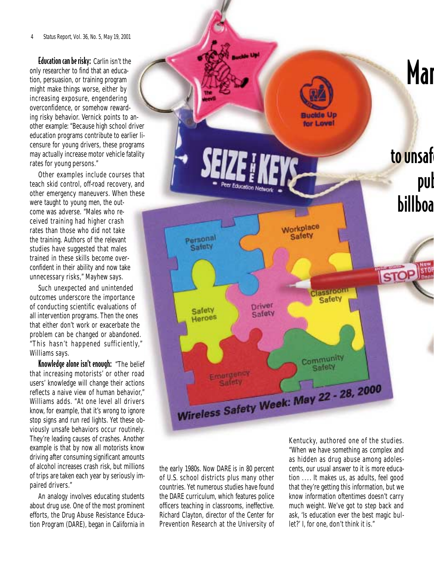#### *4 Status Report, Vol. 36, No. 5, May 19, 2001*

Education can be risky: Carlin isn't the only researcher to find that an education, persuasion, or training program might make things worse, either by increasing exposure, engendering overconfidence, or somehow rewarding risky behavior. Vernick points to another example: "Because high school driver education programs contribute to earlier licensure for young drivers, these programs may actually increase motor vehicle fatality rates for young persons."

Other examples include courses that teach skid control, off-road recovery, and other emergency maneuvers. When these were taught to young men, the outcome was adverse. "Males who received training had higher crash rates than those who did not take the training. Authors of the relevant studies have suggested that males trained in these skills become overconfident in their ability and now take unnecessary risks," Mayhew says.

Such unexpected and unintended outcomes underscore the importance of conducting scientific evaluations of all intervention programs. Then the ones that either don't work or exacerbate the problem can be changed or abandoned. "This hasn't happened sufficiently," Williams says.

Knowledge alone isn't enough: "The belief that increasing motorists' or other road users' knowledge will change their actions reflects a naive view of human behavior," Williams adds. "At one level all drivers know, for example, that it's wrong to ignore stop signs and run red lights. Yet these obviously unsafe behaviors occur routinely. They're leading causes of crashes. Another example is that by now all motorists know driving after consuming significant amounts of alcohol increases crash risk, but millions of trips are taken each year by seriously impaired drivers."

An analogy involves educating students about drug use. One of the most prominent efforts, the Drug Abuse Resistance Education Program (DARE), began in California in



the early 1980s. Now DARE is in 80 percent of U.S. school districts plus many other countries. Yet numerous studies have found the DARE curriculum, which features police officers teaching in classrooms, ineffective. Richard Clayton, director of the Center for Prevention Research at the University of

Kentucky, authored one of the studies. "When we have something as complex and as hidden as drug abuse among adolescents, our usual answer to it is more education . . . . It makes us, as adults, feel good that they're getting this information, but we know information oftentimes doesn't carry much weight. We've got to step back and ask, 'Is education ever the best magic bullet?' I, for one, don't think it is."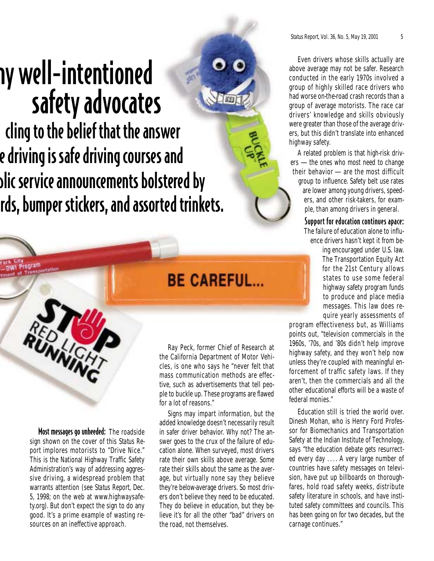# ny well-intentioned safety advocates

cling to the belief that the answer e driving is safe driving courses and blic service announcements bolstered by rds, bumper stickers, and assorted trinkets.



*Status Report, Vol. 36, No. 5, May 19, 2001 5*

Even drivers whose skills actually are above average may not be safer. Research conducted in the early 1970s involved a group of highly skilled race drivers who had worse on-the-road crash records than a group of average motorists. The race car drivers' knowledge and skills obviously were greater than those of the average drivers, but this didn't translate into enhanced highway safety.

A related problem is that high-risk drivers — the ones who most need to change their behavior — are the most difficult group to influence. Safety belt use rates are lower among young drivers, speeders, and other risk-takers, for example, than among drivers in general.

> Support for education continues apace: The failure of education alone to influence drivers hasn't kept it from be-

> > ing encouraged under U.S. law. The Transportation Equity Act for the 21st Century allows states to use some federal highway safety program funds to produce and place media messages. This law does require yearly assessments of

program effectiveness but, as Williams points out, "television commercials in the 1960s, '70s, and '80s didn't help improve highway safety, and they won't help now unless they're coupled with meaningful enforcement of traffic safety laws. If they aren't, then the commercials and all the other educational efforts will be a waste of federal monies."

Education still is tried the world over. Dinesh Mohan, who is Henry Ford Professor for Biomechanics and Transportation Safety at the Indian Institute of Technology, says "the education debate gets resurrected every day . . . . A very large number of countries have safety messages on television, have put up billboards on thoroughfares, hold road safety weeks, distribute safety literature in schools, and have instituted safety committees and councils. This has been going on for two decades, but the carnage continues."

### **BE CAREFUL...**

Ray Peck, former Chief of Research at the California Department of Motor Vehicles, is one who says he "never felt that mass communication methods are effective, such as advertisements that tell people to buckle up. These programs are flawed for a lot of reasons."

Signs may impart information, but the added knowledge doesn't necessarily result in safer driver behavior. Why not? The answer goes to the crux of the failure of education alone. When surveyed, most drivers rate their own skills above average. Some rate their skills about the same as the average, but virtually none say they believe they're below-average drivers. So most drivers don't believe they need to be educated. They do believe in education, but they believe it's for all the other "bad" drivers on the road, not themselves.

Most messages go unheeded: The roadside sign shown on the cover of this *Status Report* implores motorists to "Drive Nice." This is the National Highway Traffic Safety Administration's way of addressing aggressive driving, a widespread problem that warrants attention (see *Status Report*, Dec. 5, 1998; on the web at www.highwaysafety.org). But don't expect the sign to do any good. It's a prime example of wasting resources on an ineffective approach.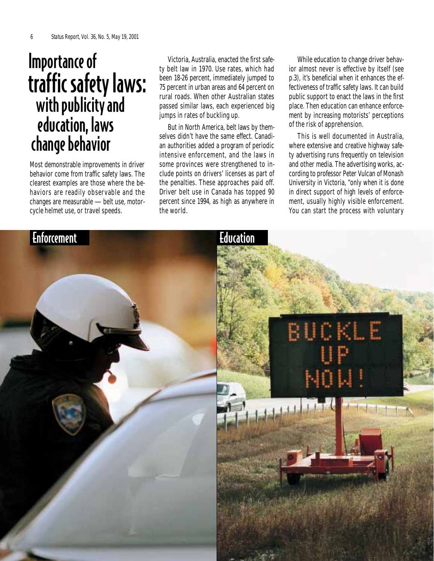## Importance of traffic safety laws: with publicity and education, laws change behavior

Most demonstrable improvements in driver behavior come from traffic safety laws. The clearest examples are those where the behaviors are readily observable and the changes are measurable — belt use, motorcycle helmet use, or travel speeds.

Victoria, Australia, enacted the first safety belt law in 1970. Use rates, which had been 18-26 percent, immediately jumped to 75 percent in urban areas and 64 percent on rural roads. When other Australian states passed similar laws, each experienced big jumps in rates of buckling up.

But in North America, belt laws by themselves didn't have the same effect. Canadian authorities added a program of periodic intensive enforcement, and the laws in some provinces were strengthened to include points on drivers' licenses as part of the penalties. These approaches paid off. Driver belt use in Canada has topped 90 percent since 1994, as high as anywhere in the world.

While education to change driver behavior almost never is effective by itself (see p.3), it's beneficial when it enhances the effectiveness of traffic safety laws. It can build public support to enact the laws in the first place. Then education can enhance enforcement by increasing motorists' perceptions of the risk of apprehension.

This is well documented in Australia, where extensive and creative highway safety advertising runs frequently on television and other media. The advertising works, according to professor Peter Vulcan of Monash University in Victoria, "only when it is done in direct support of high levels of enforcement, usually highly visible enforcement. You can start the process with voluntary

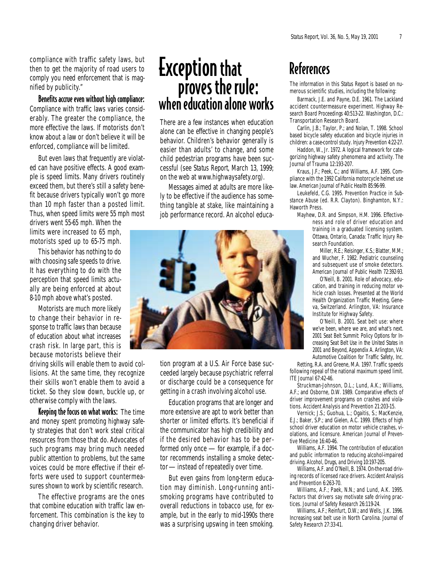compliance with traffic safety laws, but then to get the majority of road users to comply you need enforcement that is magnified by publicity."

Benefits accrue even without high compliance: Compliance with traffic laws varies considerably. The greater the compliance, the more effective the laws. If motorists don't know about a law or don't believe it will be enforced, compliance will be limited.

But even laws that frequently are violated can have positive effects. A good example is speed limits. Many drivers routinely exceed them, but there's still a safety benefit because drivers typically won't go more than 10 mph faster than a posted limit. Thus, when speed limits were 55 mph most

drivers went 55-65 mph. When the limits were increased to 65 mph, motorists sped up to 65-75 mph.

This behavior has nothing to do with choosing safe speeds to drive. It has everything to do with the perception that speed limits actually are being enforced at about 8-10 mph above what's posted.

Motorists are much more likely to change their behavior in response to traffic laws than because of education about what increases crash risk. In large part, this is because motorists believe their

driving skills will enable them to avoid collisions. At the same time, they recognize their skills won't enable them to avoid a ticket. So they slow down, buckle up, or otherwise comply with the laws.

Keeping the focus on what works: The time and money spent promoting highway safety strategies that don't work steal critical resources from those that do. Advocates of such programs may bring much needed public attention to problems, but the same voices could be more effective if their efforts were used to support countermeasures shown to work by scientific research.

The effective programs are the ones that combine education with traffic law enforcement. This combination is the key to changing driver behavior.

## Exception that proves the rule: when education alone works

There are a few instances when education alone can be effective in changing people's behavior. Children's behavior generally is easier than adults' to change, and some child pedestrian programs have been successful (see *Status Report*, March 13, 1999; on the web at www.highwaysafety.org).

Messages aimed at adults are more likely to be effective if the audience has something tangible at stake, like maintaining a job performance record. An alcohol educa-



tion program at a U.S. Air Force base succeeded largely because psychiatric referral or discharge could be a consequence for getting in a crash involving alcohol use.

Education programs that are longer and more extensive are apt to work better than shorter or limited efforts. It's beneficial if the communicator has high credibility and if the desired behavior has to be performed only once — for example, if a doctor recommends installing a smoke detector— instead of repeatedly over time.

But even gains from long-term education may diminish. Long-running antismoking programs have contributed to overall reductions in tobacco use, for example, but in the early to mid-1990s there was a surprising upswing in teen smoking.

#### References

The information in this *Status Report* is based on numerous scientific studies, including the following:

Barmack, J.E. and Payne, D.E. 1961. The Lackland accident countermeasure experiment. *Highway Research Board Proceedings* 40:513-22. Washington, D.C.: Transportation Research Board.

Carlin, J.B.; Taylor, P.; and Nolan, T. 1998. School based bicycle safety education and bicycle injuries in children: a case-control study. *Injury Prevention* 4:22-27.

Haddon, W., Jr. 1972. A logical framework for categorizing highway safety phenomena and activity. *The Journal of Trauma* 12:193-207.

Kraus, J.F.; Peek, C.; and Williams, A.F. 1995. Compliance with the 1992 California motorcycle helmet use law. *American Journal of Public Health* 85:96-99.

Leukefeld, C.G. 1995. *Prevention Practice in Substance Abuse* (ed. R.R. Clayton). Binghamton, N.Y.: Haworth Press.

Mayhew, D.R. and Simpson, H.M. 1996. Effectiveness and role of driver education and training in a graduated licensing system. Ottawa, Ontario, Canada: Traffic Injury Research Foundation.

Miller, R.E.; Reisinger, K.S.; Blatter, M.M.; and Wucher, F. 1982. Pediatric counseling and subsequent use of smoke detectors. *American Journal of Public Health* 72:392-93.

O'Neill, B. 2001. Role of advocacy, education, and training in reducing motor vehicle crash losses. Presented at the World Health Organization Traffic Meeting, Geneva, Switzerland. Arlington, VA: Insurance Institute for Highway Safety.

O'Neill, B. 2001. Seat belt use: where we've been, where we are, and what's next. *2001 Seat Belt Summit: Policy Options for Increasing Seat Belt Use in the United States in 2001 and Beyond*, Appendix A. Arlington, VA: Automotive Coalition for Traffic Safety, Inc.

Retting, R.A. and Greene, M.A. 1997. Traffic speeds following repeal of the national maximum speed limit. *ITE Journal* 67:42-46.

Struckman-Johnson, D.L.; Lund, A.K.; Williams, A.F.; and Osborne, D.W. 1989. Comparative effects of driver improvement programs on crashes and violations. *Accident Analysis and Prevention* 21:203-15.

Vernick; J.S.; Guohua, L.; Ogaitis, S.; MacKenzie, E.J.; Baker, S.P.; and Gielen, A.C. 1999. Effects of high school driver education on motor vehicle crashes, violations, and licensure. *American Journal of Preventive Medicine* 16:40-46.

Williams, A.F. 1994. The contribution of education and public information to reducing alcohol-impaired driving. *Alcohol, Drugs, and Driving* 10:197-205.

Williams, A.F. and O'Neill, B. 1974. On-the-road driving records of licensed race drivers. *Accident Analysis and Prevention* 6:263-70.

Williams, A.F.; Paek, N.N.; and Lund, A.K. 1995. Factors that drivers say motivate safe driving practices. *Journal of Safety Research* 26:119-24.

Williams, A.F.; Reinfurt, D.W.; and Wells, J.K. 1996. Increasing seat belt use in North Carolina. *Journal of Safety Research* 27:33-41.